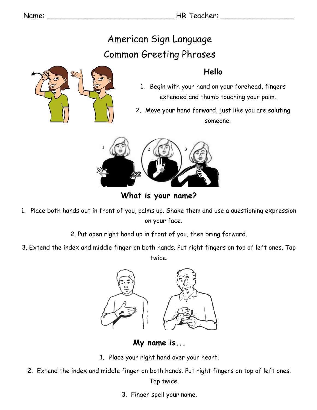Name: \_\_\_\_\_\_\_\_\_\_\_\_\_\_\_\_\_\_\_\_\_\_\_\_\_\_\_\_ HR Teacher: \_\_\_\_\_\_\_\_\_\_\_\_\_\_\_\_

# American Sign Language Common Greeting Phrases

#### **Hello**

- 1. Begin with your hand on your forehead, fingers extended and thumb touching your palm.
- 2. Move your hand forward, just like you are saluting someone.



**What is your name?**

- 1. Place both hands out in front of you, palms up. Shake them and use a questioning expression on your face.
	- 2. Put open right hand up in front of you, then bring forward.
- 3. Extend the index and middle finger on both hands. Put right fingers on top of left ones. Tap twice.



**My name is...**

- 1. Place your right hand over your heart.
- 2. Extend the index and middle finger on both hands. Put right fingers on top of left ones. Tap twice.
	- 3. Finger spell your name.